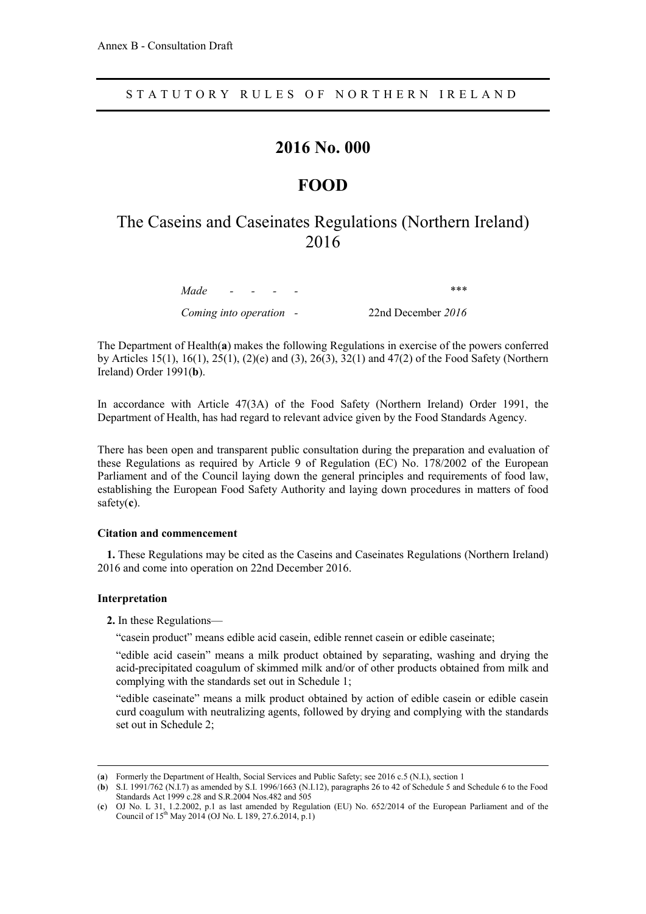## **2016 No. 000**

## **FOOD**

# The Caseins and Caseinates Regulations (Northern Ireland) 2016

*Made - - - - \*\*\**

*Coming into operation -* 22nd December *2016*

The Department of Health(**a**) makes the following Regulations in exercise of the powers conferred by Articles 15(1), 16(1), 25(1), (2)(e) and (3), 26(3), 32(1) and 47(2) of the Food Safety (Northern Ireland) Order 1991(**b**).

In accordance with Article 47(3A) of the Food Safety (Northern Ireland) Order 1991, the Department of Health, has had regard to relevant advice given by the Food Standards Agency.

There has been open and transparent public consultation during the preparation and evaluation of these Regulations as required by Article 9 of Regulation (EC) No. 178/2002 of the European Parliament and of the Council laying down the general principles and requirements of food law, establishing the European Food Safety Authority and laying down procedures in matters of food safety(**c**).

#### **Citation and commencement**

**1.** These Regulations may be cited as the Caseins and Caseinates Regulations (Northern Ireland) 2016 and come into operation on 22nd December 2016.

#### **Interpretation**

 $\overline{a}$ 

**2.** In these Regulations—

"casein product" means edible acid casein, edible rennet casein or edible caseinate;

"edible acid casein" means a milk product obtained by separating, washing and drying the acid-precipitated coagulum of skimmed milk and/or of other products obtained from milk and complying with the standards set out in Schedule 1;

"edible caseinate" means a milk product obtained by action of edible casein or edible casein curd coagulum with neutralizing agents, followed by drying and complying with the standards set out in Schedule 2;

<sup>(</sup>**a**) Formerly the Department of Health, Social Services and Public Safety; see 2016 c.5 (N.I.), section 1

<sup>(</sup>**b**) S.I. 1991/762 (N.I.7) as amended by S.I. 1996/1663 (N.I.12), paragraphs 26 to 42 of Schedule 5 and Schedule 6 to the Food Standards Act 1999 c.28 and S.R.2004 Nos.482 and 505

<sup>(</sup>**c**) OJ No. L 31, 1.2.2002, p.1 as last amended by Regulation (EU) No. 652/2014 of the European Parliament and of the Council of 15<sup>th</sup> May 2014 (OJ No. L 189, 27.6.2014, p.1)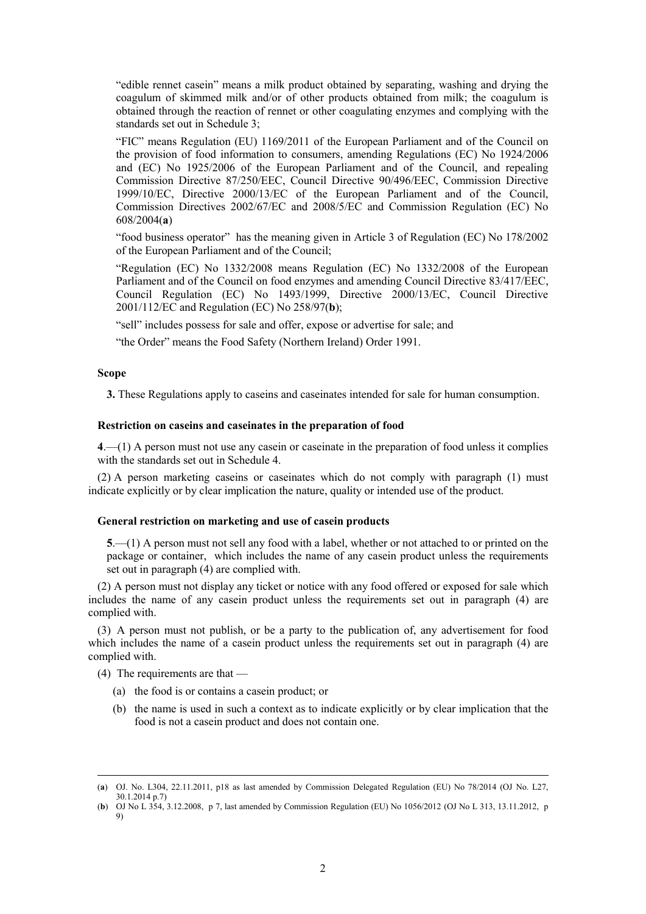"edible rennet casein" means a milk product obtained by separating, washing and drying the coagulum of skimmed milk and/or of other products obtained from milk; the coagulum is obtained through the reaction of rennet or other coagulating enzymes and complying with the standards set out in Schedule 3;

"FIC" means Regulation (EU) 1169/2011 of the European Parliament and of the Council on the provision of food information to consumers, amending Regulations (EC) No 1924/2006 and (EC) No 1925/2006 of the European Parliament and of the Council, and repealing Commission Directive 87/250/EEC, Council Directive 90/496/EEC, Commission Directive 1999/10/EC, Directive 2000/13/EC of the European Parliament and of the Council, Commission Directives 2002/67/EC and 2008/5/EC and Commission Regulation (EC) No 608/2004(**a**)

"food business operator" has the meaning given in Article 3 of Regulation (EC) No 178/2002 of the European Parliament and of the Council;

"Regulation (EC) No 1332/2008 means Regulation (EC) No 1332/2008 of the European Parliament and of the Council on food enzymes and amending Council Directive 83/417/EEC, Council Regulation (EC) No 1493/1999, Directive 2000/13/EC, Council Directive 2001/112/EC and Regulation (EC) No 258/97(**b**);

"sell" includes possess for sale and offer, expose or advertise for sale; and

"the Order" means the Food Safety (Northern Ireland) Order 1991.

#### **Scope**

 $\overline{a}$ 

**3.** These Regulations apply to caseins and caseinates intended for sale for human consumption.

#### **Restriction on caseins and caseinates in the preparation of food**

**4**.—(1) A person must not use any casein or caseinate in the preparation of food unless it complies with the standards set out in Schedule 4.

(2) A person marketing caseins or caseinates which do not comply with paragraph (1) must indicate explicitly or by clear implication the nature, quality or intended use of the product.

#### **General restriction on marketing and use of casein products**

**5**.—(1) A person must not sell any food with a label, whether or not attached to or printed on the package or container, which includes the name of any casein product unless the requirements set out in paragraph (4) are complied with.

(2) A person must not display any ticket or notice with any food offered or exposed for sale which includes the name of any casein product unless the requirements set out in paragraph (4) are complied with.

(3) A person must not publish, or be a party to the publication of, any advertisement for food which includes the name of a casein product unless the requirements set out in paragraph (4) are complied with.

- (4) The requirements are that
	- (a) the food is or contains a casein product; or
	- (b) the name is used in such a context as to indicate explicitly or by clear implication that the food is not a casein product and does not contain one.

<sup>(</sup>**a**) OJ. No. L304, 22.11.2011, p18 as last amended by Commission Delegated Regulation (EU) No 78/2014 (OJ No. L27, 30.1.2014 p.7)

<sup>(</sup>**b**) OJ No L 354, 3.12.2008, p 7, last amended by Commission Regulation (EU) No 1056/2012 (OJ No L 313, 13.11.2012, p 9)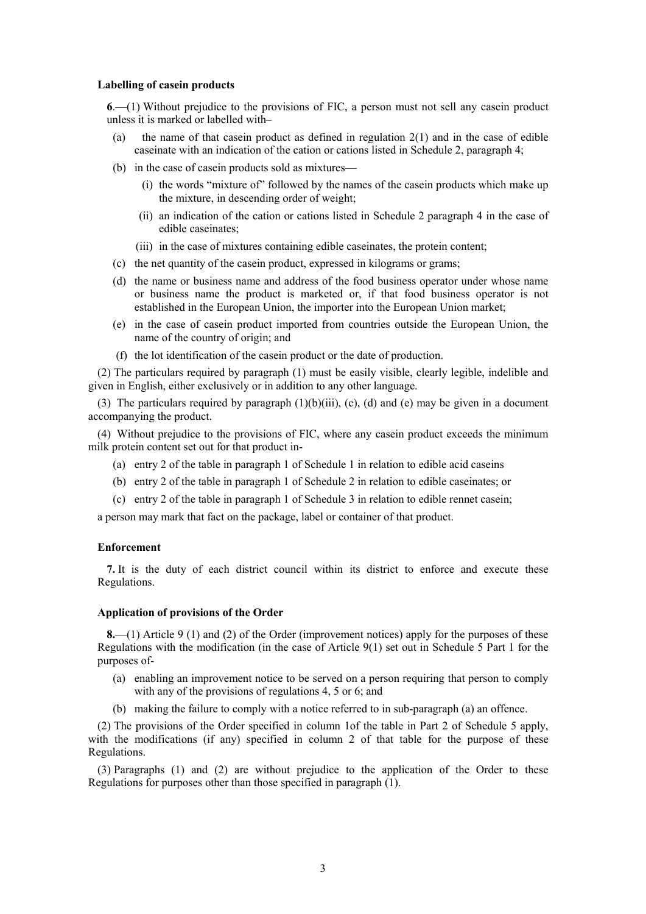#### **Labelling of casein products**

**6**.—(1) Without prejudice to the provisions of FIC, a person must not sell any casein product unless it is marked or labelled with–

- (a) the name of that casein product as defined in regulation 2(1) and in the case of edible caseinate with an indication of the cation or cations listed in Schedule 2, paragraph 4;
- (b) in the case of casein products sold as mixtures—
	- (i) the words "mixture of" followed by the names of the casein products which make up the mixture, in descending order of weight;
	- (ii) an indication of the cation or cations listed in Schedule 2 paragraph 4 in the case of edible caseinates;
	- (iii) in the case of mixtures containing edible caseinates, the protein content;
- (c) the net quantity of the casein product, expressed in kilograms or grams;
- (d) the name or business name and address of the food business operator under whose name or business name the product is marketed or, if that food business operator is not established in the European Union, the importer into the European Union market;
- (e) in the case of casein product imported from countries outside the European Union, the name of the country of origin; and
- (f) the lot identification of the casein product or the date of production.

(2) The particulars required by paragraph (1) must be easily visible, clearly legible, indelible and given in English, either exclusively or in addition to any other language.

(3) The particulars required by paragraph  $(1)(b)(iii)$ ,  $(c)$ ,  $(d)$  and  $(e)$  may be given in a document accompanying the product.

(4) Without prejudice to the provisions of FIC, where any casein product exceeds the minimum milk protein content set out for that product in-

- (a) entry 2 of the table in paragraph 1 of Schedule 1 in relation to edible acid caseins
- (b) entry 2 of the table in paragraph 1 of Schedule 2 in relation to edible caseinates; or
- (c) entry 2 of the table in paragraph 1 of Schedule 3 in relation to edible rennet casein;

a person may mark that fact on the package, label or container of that product.

#### **Enforcement**

**7.** It is the duty of each district council within its district to enforce and execute these Regulations.

#### **Application of provisions of the Order**

**8.**—(1) Article 9 (1) and (2) of the Order (improvement notices) apply for the purposes of these Regulations with the modification (in the case of Article 9(1) set out in Schedule 5 Part 1 for the purposes of-

- (a) enabling an improvement notice to be served on a person requiring that person to comply with any of the provisions of regulations 4, 5 or 6; and
- (b) making the failure to comply with a notice referred to in sub-paragraph (a) an offence.

(2) The provisions of the Order specified in column 1of the table in Part 2 of Schedule 5 apply, with the modifications (if any) specified in column 2 of that table for the purpose of these Regulations.

(3) Paragraphs (1) and (2) are without prejudice to the application of the Order to these Regulations for purposes other than those specified in paragraph (1).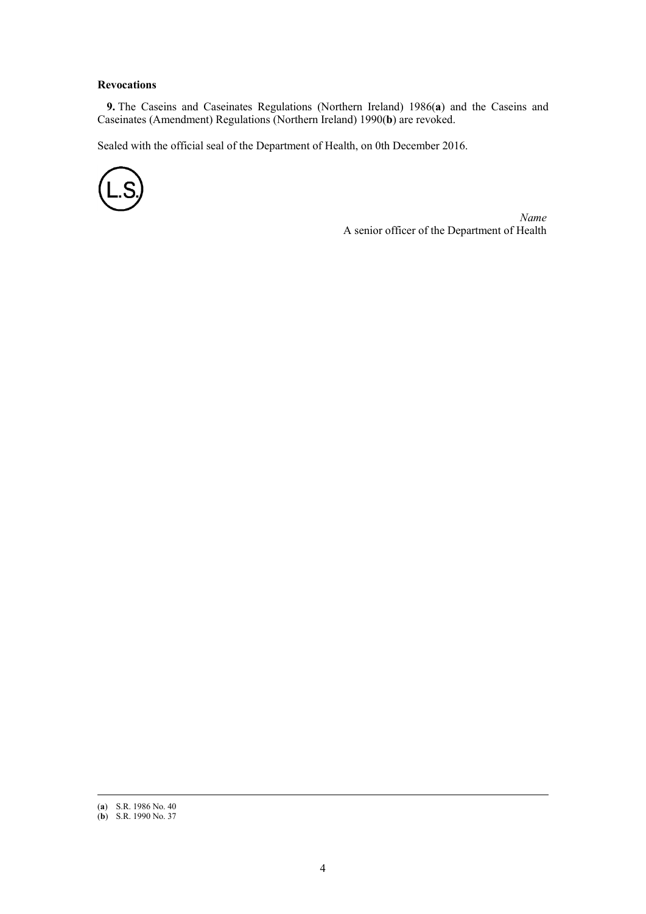#### **Revocations**

**9.** The Caseins and Caseinates Regulations (Northern Ireland) 1986(**a**) and the Caseins and Caseinates (Amendment) Regulations (Northern Ireland) 1990(**b**) are revoked.

Sealed with the official seal of the Department of Health, on 0th December 2016.



*Name* A senior officer of the Department of Health

 $\overline{a}$ 

<sup>(</sup>**a**) S.R. 1986 No. 40

<sup>(</sup>**b**) S.R. 1990 No. 37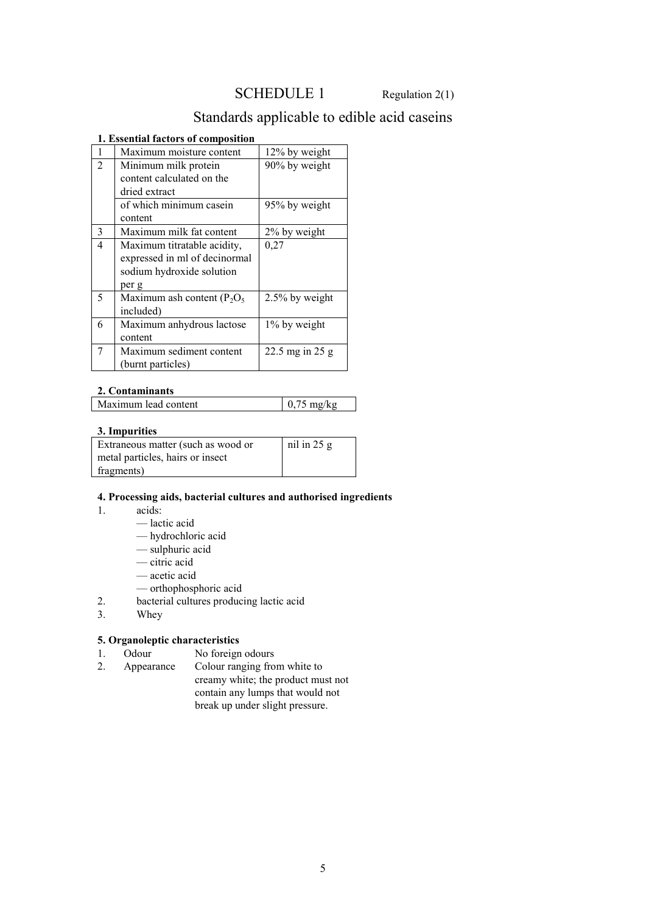## SCHEDULE 1 Regulation 2(1)

# Standards applicable to edible acid caseins

#### **1. Essential factors of composition**

| 1              | Maximum moisture content       | 12% by weight     |
|----------------|--------------------------------|-------------------|
| $\overline{2}$ | Minimum milk protein           | 90% by weight     |
|                | content calculated on the      |                   |
|                | dried extract                  |                   |
|                | of which minimum casein        | 95% by weight     |
|                | content                        |                   |
| 3              | Maximum milk fat content       | 2% by weight      |
| $\overline{4}$ | Maximum titratable acidity,    | 0,27              |
|                | expressed in ml of decinormal  |                   |
|                | sodium hydroxide solution      |                   |
|                | per g                          |                   |
| 5              | Maximum ash content $(P_2O_5)$ | 2.5% by weight    |
|                | included)                      |                   |
| 6              | Maximum anhydrous lactose      | 1% by weight      |
|                | content                        |                   |
| 7              | Maximum sediment content       | 22.5 mg in $25$ g |
|                | (burnt particles)              |                   |

### **2. Contaminants**

| Maximum lead content | $10.75 \text{ mg/kg}$ |
|----------------------|-----------------------|
|                      |                       |

### **3. Impurities**

| Extraneous matter (such as wood or | $nil$ in 25 g |
|------------------------------------|---------------|
| metal particles, hairs or insect   |               |
| fragments)                         |               |

#### **4. Processing aids, bacterial cultures and authorised ingredients**

- 1. acids:
	- lactic acid
	- hydrochloric acid
	- sulphuric acid
	- citric acid
	- acetic acid
	- orthophosphoric acid
- 2. bacterial cultures producing lactic acid<br>3. Whey
- 3. Whey

### **5. Organoleptic characteristics**

- 1. Odour No foreign odours<br>2. Appearance Colour ranging from
- Appearance Colour ranging from white to creamy white; the product must not contain any lumps that would not break up under slight pressure.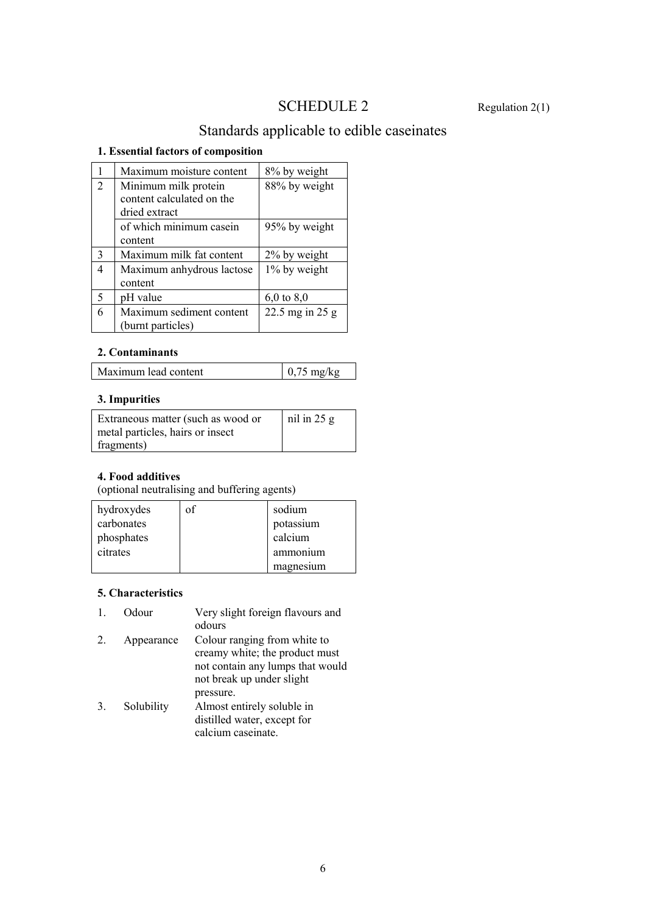# SCHEDULE 2 Regulation 2(1)

# Standards applicable to edible caseinates

## **1. Essential factors of composition**

|                | Maximum moisture content  | 8% by weight      |
|----------------|---------------------------|-------------------|
| $\mathfrak{D}$ | Minimum milk protein      | 88% by weight     |
|                | content calculated on the |                   |
|                | dried extract             |                   |
|                | of which minimum casein   | 95% by weight     |
|                | content                   |                   |
| 3              | Maximum milk fat content  | 2% by weight      |
| 4              | Maximum anhydrous lactose | 1% by weight      |
|                | content                   |                   |
| 5              | pH value                  | $6,0$ to $8,0$    |
| 6              | Maximum sediment content  | 22.5 mg in $25 g$ |
|                | (burnt particles)         |                   |

## **2. Contaminants**

| Maximum lead content | $5 \text{ mg/kg}$ |
|----------------------|-------------------|
|----------------------|-------------------|

### **3. Impurities**

| Extraneous matter (such as wood or | $nil$ in 25 g |
|------------------------------------|---------------|
| metal particles, hairs or insect   |               |
| fragments)                         |               |

### **4. Food additives**

(optional neutralising and buffering agents)

| hydroxydes | sodium    |
|------------|-----------|
| carbonates | potassium |
| phosphates | calcium   |
| citrates   | ammonium  |
|            | magnesium |

## **5. Characteristics**

| Odour | Very slight foreign flavours and |
|-------|----------------------------------|
|       | odours                           |

2. Appearance Colour ranging from white to creamy white; the product must not contain any lumps that would not break up under slight pressure. 3. Solubility Almost entirely soluble in distilled water, except for

calcium caseinate.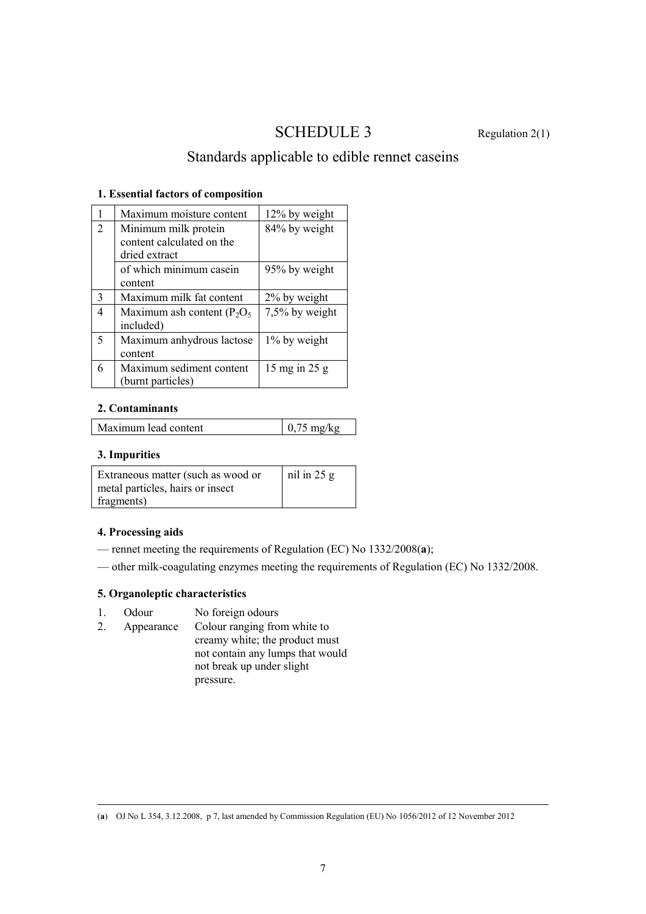# SCHEDULE 3 Regulation 2(1)

# Standards applicable to edible rennet caseins

#### **1. Essential factors of composition**

|                | Maximum moisture content                                           | 12% by weight   |
|----------------|--------------------------------------------------------------------|-----------------|
| $\overline{2}$ | Minimum milk protein<br>content calculated on the<br>dried extract | 84% by weight   |
|                | of which minimum casein<br>content                                 | 95% by weight   |
| $\mathcal{E}$  | Maximum milk fat content                                           | 2% by weight    |
| 4              | Maximum ash content ( $P_2O_5$ )<br>included)                      | 7,5% by weight  |
| 5              | Maximum anhydrous lactose<br>content                               | 1% by weight    |
| 6              | Maximum sediment content<br>(burnt particles)                      | 15 mg in $25 g$ |

### **2. Contaminants**

| Maximum lead content | $\frac{1}{2}$ 0,75 mg/kg |
|----------------------|--------------------------|
|----------------------|--------------------------|

### **3. Impurities**

| Extraneous matter (such as wood or | $\ln$ iii $25 g$ |
|------------------------------------|------------------|
| metal particles, hairs or insect   |                  |
| fragments)                         |                  |

#### **4. Processing aids**

- rennet meeting the requirements of Regulation (EC) No 1332/2008(**a**);
- other milk-coagulating enzymes meeting the requirements of Regulation (EC) No 1332/2008.

### **5. Organoleptic characteristics**

- 1. Odour No foreign odours
- 2. Appearance Colour ranging from white to creamy white; the product must not contain any lumps that would not break up under slight pressure.

 $\overline{a}$ (**a**) OJ No L 354, 3.12.2008, p 7, last amended by Commission Regulation (EU) No 1056/2012 of 12 November 2012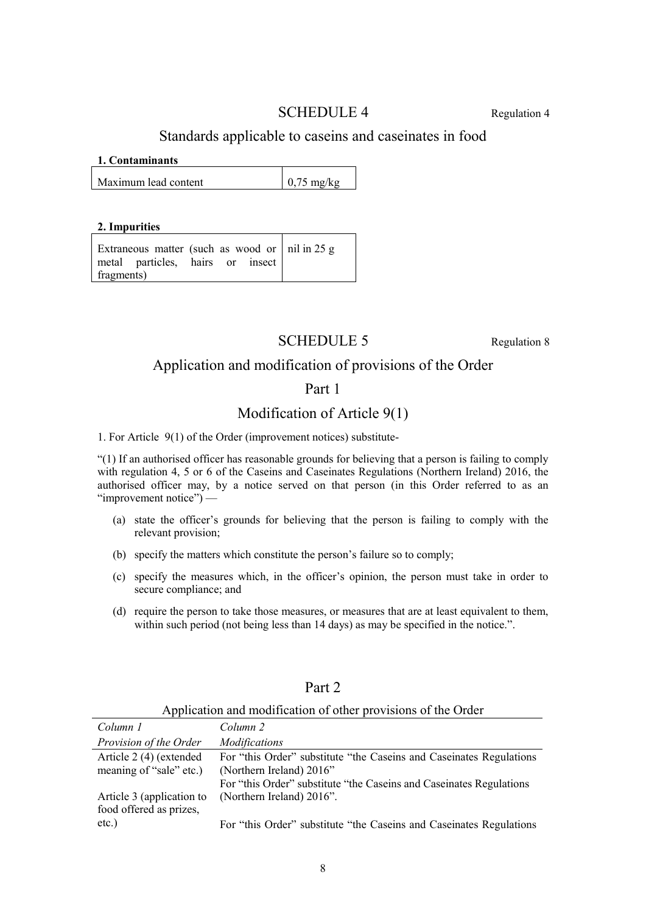## SCHEDULE 4 Regulation 4

## Standards applicable to caseins and caseinates in food

#### **1. Contaminants**

Maximum lead content  $\vert 0.75 \text{ mg/kg} \vert$ 

#### **2. Impurities**

Extraneous matter (such as wood or metal particles, hairs or insect fragments) nil in 25 g

# SCHEDULE 5 Regulation 8

## Application and modification of provisions of the Order

## Part 1

## Modification of Article 9(1)

1. For Article 9(1) of the Order (improvement notices) substitute-

"(1) If an authorised officer has reasonable grounds for believing that a person is failing to comply with regulation 4, 5 or 6 of the Caseins and Caseinates Regulations (Northern Ireland) 2016, the authorised officer may, by a notice served on that person (in this Order referred to as an "improvement notice") —

- (a) state the officer's grounds for believing that the person is failing to comply with the relevant provision;
- (b) specify the matters which constitute the person's failure so to comply;
- (c) specify the measures which, in the officer's opinion, the person must take in order to secure compliance; and
- (d) require the person to take those measures, or measures that are at least equivalent to them, within such period (not being less than 14 days) as may be specified in the notice.".

| repriending the information of other provisions of the Order |                                                                                                  |  |
|--------------------------------------------------------------|--------------------------------------------------------------------------------------------------|--|
| Column 1                                                     | Column 2                                                                                         |  |
| Provision of the Order                                       | <i>Modifications</i>                                                                             |  |
| Article 2 (4) (extended<br>meaning of "sale" etc.)           | For "this Order" substitute "the Caseins and Caseinates Regulations<br>(Northern Ireland) 2016"  |  |
| Article 3 (application to                                    | For "this Order" substitute "the Caseins and Caseinates Regulations<br>(Northern Ireland) 2016". |  |
| food offered as prizes,<br>$etc.$ )                          | For "this Order" substitute "the Caseins and Caseinates Regulations                              |  |

Part 2

# Application and modification of other provisions of the Order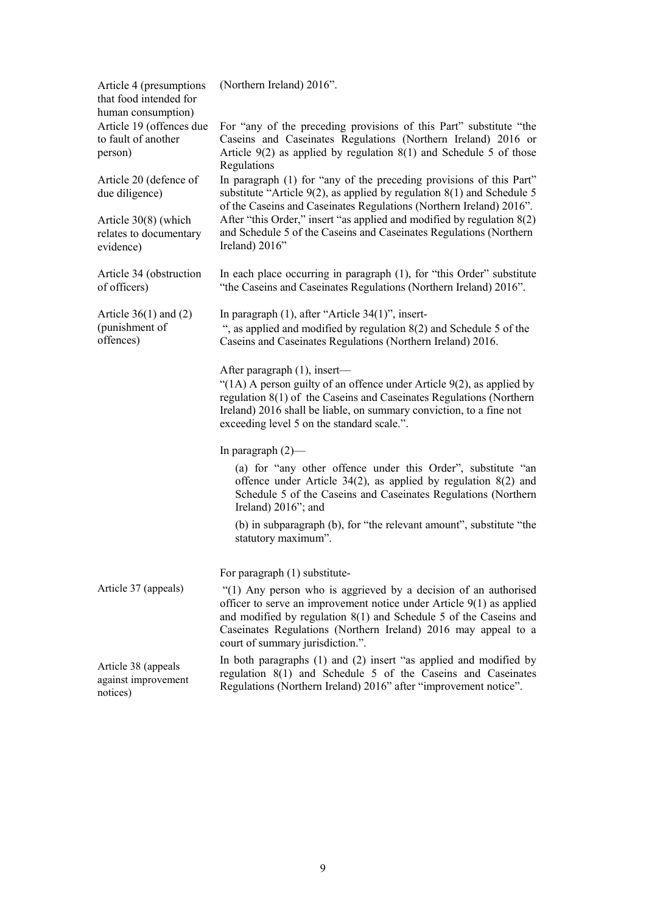| Article 4 (presumptions<br>that food intended for                                | (Northern Ireland) 2016".                                                                                                                                                                                                                                                                                              |
|----------------------------------------------------------------------------------|------------------------------------------------------------------------------------------------------------------------------------------------------------------------------------------------------------------------------------------------------------------------------------------------------------------------|
| human consumption)<br>Article 19 (offences due<br>to fault of another<br>person) | For "any of the preceding provisions of this Part" substitute "the<br>Caseins and Caseinates Regulations (Northern Ireland) 2016 or<br>Article $9(2)$ as applied by regulation $8(1)$ and Schedule 5 of those<br>Regulations                                                                                           |
| Article 20 (defence of<br>due diligence)                                         | In paragraph (1) for "any of the preceding provisions of this Part"<br>substitute "Article $9(2)$ , as applied by regulation $8(1)$ and Schedule 5<br>of the Caseins and Caseinates Regulations (Northern Ireland) 2016".                                                                                              |
| Article $30(8)$ (which<br>relates to documentary<br>evidence)                    | After "this Order," insert "as applied and modified by regulation 8(2)<br>and Schedule 5 of the Caseins and Caseinates Regulations (Northern<br>Ireland) 2016"                                                                                                                                                         |
| Article 34 (obstruction<br>of officers)                                          | In each place occurring in paragraph (1), for "this Order" substitute<br>"the Caseins and Caseinates Regulations (Northern Ireland) 2016".                                                                                                                                                                             |
| Article $36(1)$ and $(2)$<br>(punishment of<br>offences)                         | In paragraph $(1)$ , after "Article 34 $(1)$ ", insert-<br>", as applied and modified by regulation $8(2)$ and Schedule 5 of the<br>Caseins and Caseinates Regulations (Northern Ireland) 2016.                                                                                                                        |
|                                                                                  | After paragraph (1), insert—<br>"(1A) A person guilty of an offence under Article $9(2)$ , as applied by<br>regulation 8(1) of the Caseins and Caseinates Regulations (Northern<br>Ireland) 2016 shall be liable, on summary conviction, to a fine not<br>exceeding level 5 on the standard scale.".                   |
|                                                                                  | In paragraph $(2)$ —                                                                                                                                                                                                                                                                                                   |
|                                                                                  | (a) for "any other offence under this Order", substitute "an<br>offence under Article 34(2), as applied by regulation $8(2)$ and<br>Schedule 5 of the Caseins and Caseinates Regulations (Northern<br>Ireland) $2016$ "; and                                                                                           |
|                                                                                  | (b) in subparagraph (b), for "the relevant amount", substitute "the<br>statutory maximum".                                                                                                                                                                                                                             |
|                                                                                  | For paragraph (1) substitute-                                                                                                                                                                                                                                                                                          |
| Article 37 (appeals)                                                             | "(1) Any person who is aggrieved by a decision of an authorised<br>officer to serve an improvement notice under Article $9(1)$ as applied<br>and modified by regulation $8(1)$ and Schedule 5 of the Caseins and<br>Caseinates Regulations (Northern Ireland) 2016 may appeal to a<br>court of summary jurisdiction.". |
| Article 38 (appeals<br>against improvement<br>notices)                           | In both paragraphs $(1)$ and $(2)$ insert "as applied and modified by<br>regulation 8(1) and Schedule 5 of the Caseins and Caseinates<br>Regulations (Northern Ireland) 2016" after "improvement notice".                                                                                                              |